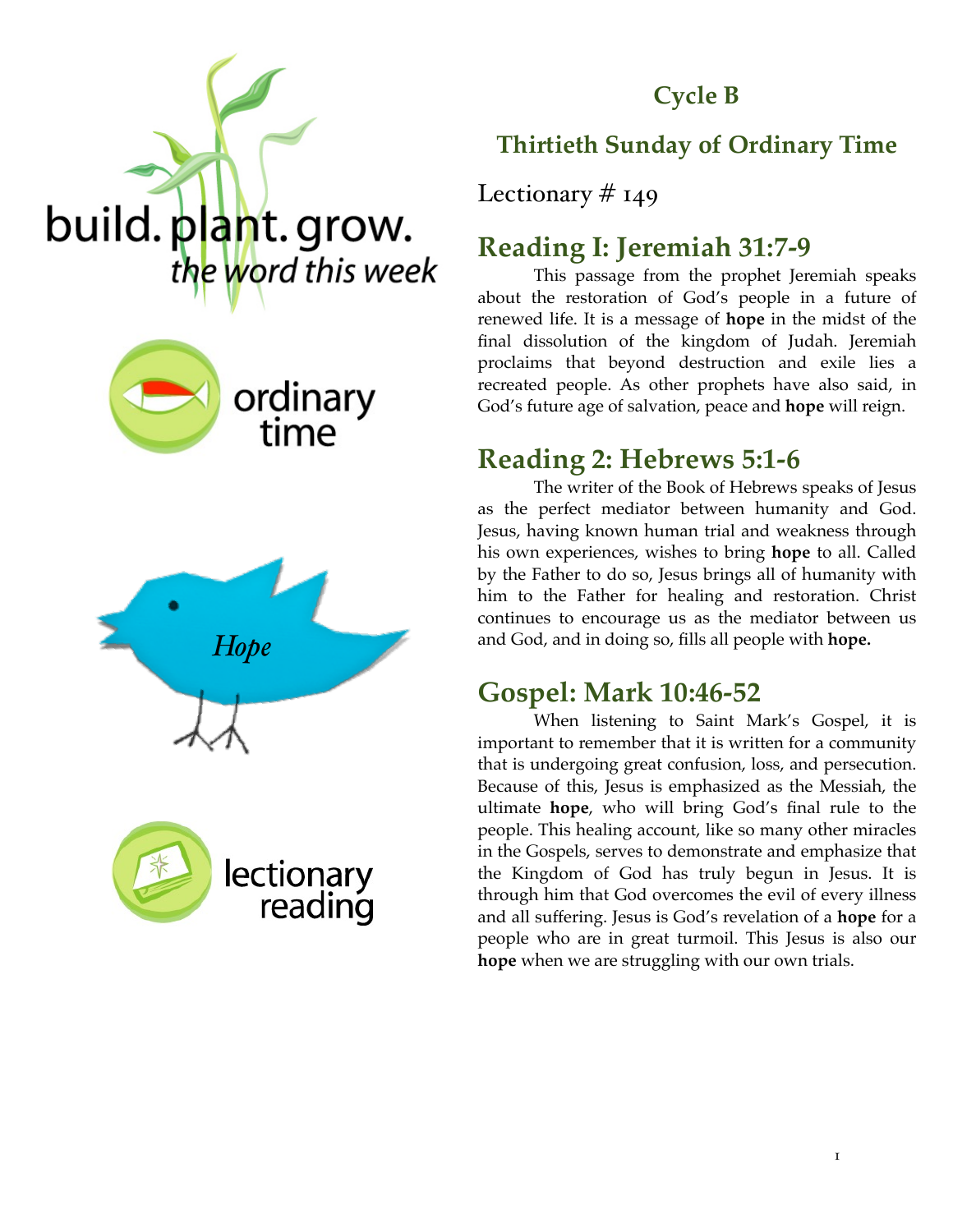

#### **Cycle B**

## **Thirtieth Sunday of Ordinary Time**

Lectionary  $# 149$ 

# **Reading I: Jeremiah 31:7-9**

This passage from the prophet Jeremiah speaks about the restoration of God's people in a future of renewed life. It is a message of **hope** in the midst of the final dissolution of the kingdom of Judah. Jeremiah proclaims that beyond destruction and exile lies a recreated people. As other prophets have also said, in God's future age of salvation, peace and **hope** will reign.

# **Reading 2: Hebrews 5:1-6**

The writer of the Book of Hebrews speaks of Jesus as the perfect mediator between humanity and God. Jesus, having known human trial and weakness through his own experiences, wishes to bring **hope** to all. Called by the Father to do so, Jesus brings all of humanity with him to the Father for healing and restoration. Christ continues to encourage us as the mediator between us and God, and in doing so, fills all people with **hope.** 

## **Gospel: Mark 10:46-52**

When listening to Saint Mark's Gospel, it is important to remember that it is written for a community that is undergoing great confusion, loss, and persecution. Because of this, Jesus is emphasized as the Messiah, the ultimate **hope**, who will bring God's final rule to the people. This healing account, like so many other miracles in the Gospels, serves to demonstrate and emphasize that the Kingdom of God has truly begun in Jesus. It is through him that God overcomes the evil of every illness and all suffering. Jesus is God's revelation of a **hope** for a people who are in great turmoil. This Jesus is also our **hope** when we are struggling with our own trials.





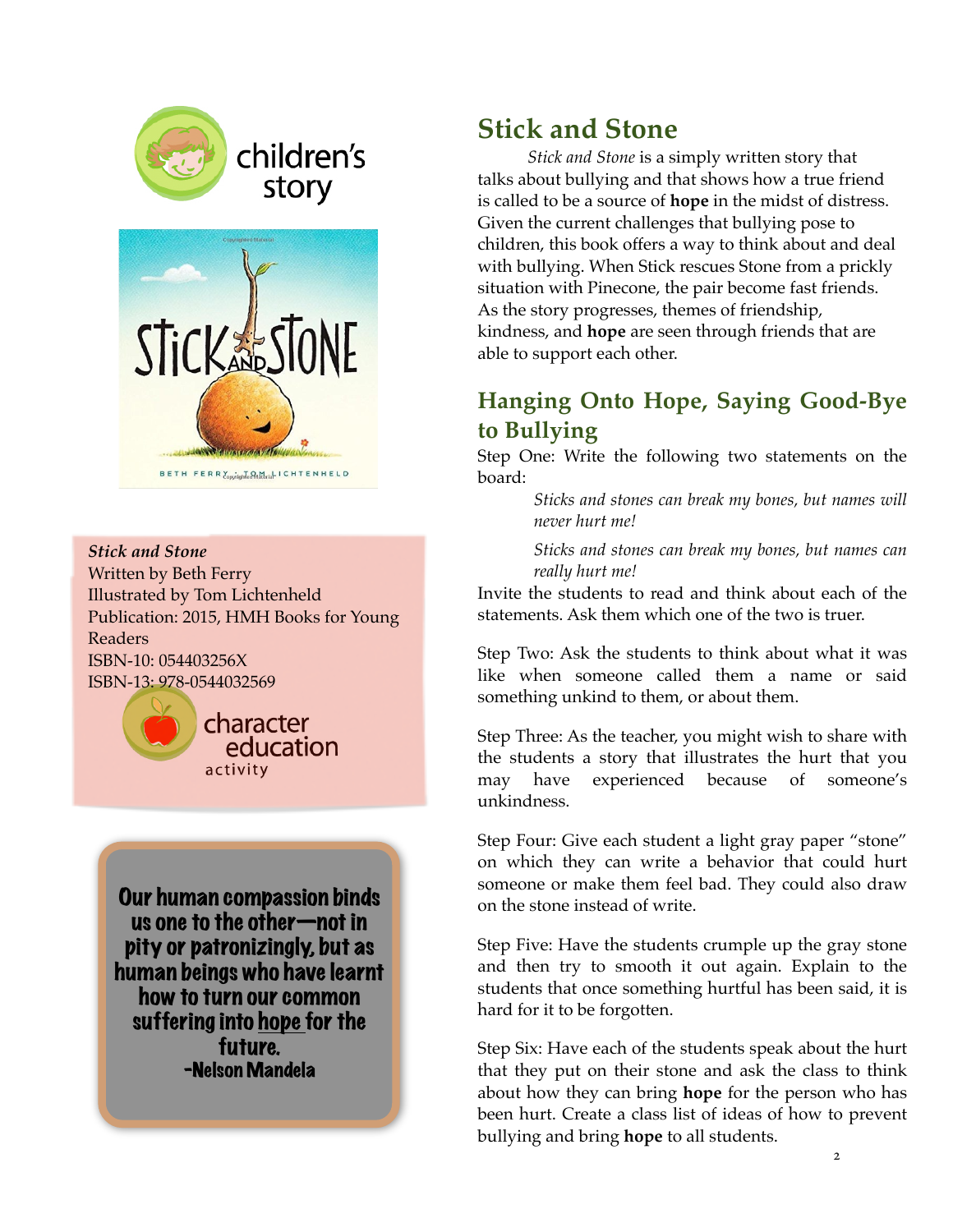

children's story



*Stick and Stone* Written by Beth Ferry Illustrated by Tom Lichtenheld Publication: 2015, HMH Books for Young Readers ISBN-10: 054403256X ISBN-13: 978-0544032569



Our human compassion binds us one to the other—not in pity or patronizingly, but as human beings who have learnt how to turn our common suffering into hope for the future. -Nelson Mandela

## **Stick and Stone**

*Stick and Stone* is a simply written story that talks about bullying and that shows how a true friend is called to be a source of **hope** in the midst of distress. Given the current challenges that bullying pose to children, this book offers a way to think about and deal with bullying. When Stick rescues Stone from a prickly situation with Pinecone, the pair become fast friends. As the story progresses, themes of friendship, kindness, and **hope** are seen through friends that are able to support each other.

#### **Hanging Onto Hope, Saying Good-Bye to Bullying**

Step One: Write the following two statements on the board:

> *Sticks and stones can break my bones, but names will never hurt me!*

> *Sticks and stones can break my bones, but names can really hurt me!*

Invite the students to read and think about each of the statements. Ask them which one of the two is truer.

Step Two: Ask the students to think about what it was like when someone called them a name or said something unkind to them, or about them.

Step Three: As the teacher, you might wish to share with the students a story that illustrates the hurt that you may have experienced because of someone's unkindness.

Step Four: Give each student a light gray paper "stone" on which they can write a behavior that could hurt someone or make them feel bad. They could also draw on the stone instead of write.

Step Five: Have the students crumple up the gray stone and then try to smooth it out again. Explain to the students that once something hurtful has been said, it is hard for it to be forgotten.

Step Six: Have each of the students speak about the hurt that they put on their stone and ask the class to think about how they can bring **hope** for the person who has been hurt. Create a class list of ideas of how to prevent bullying and bring **hope** to all students.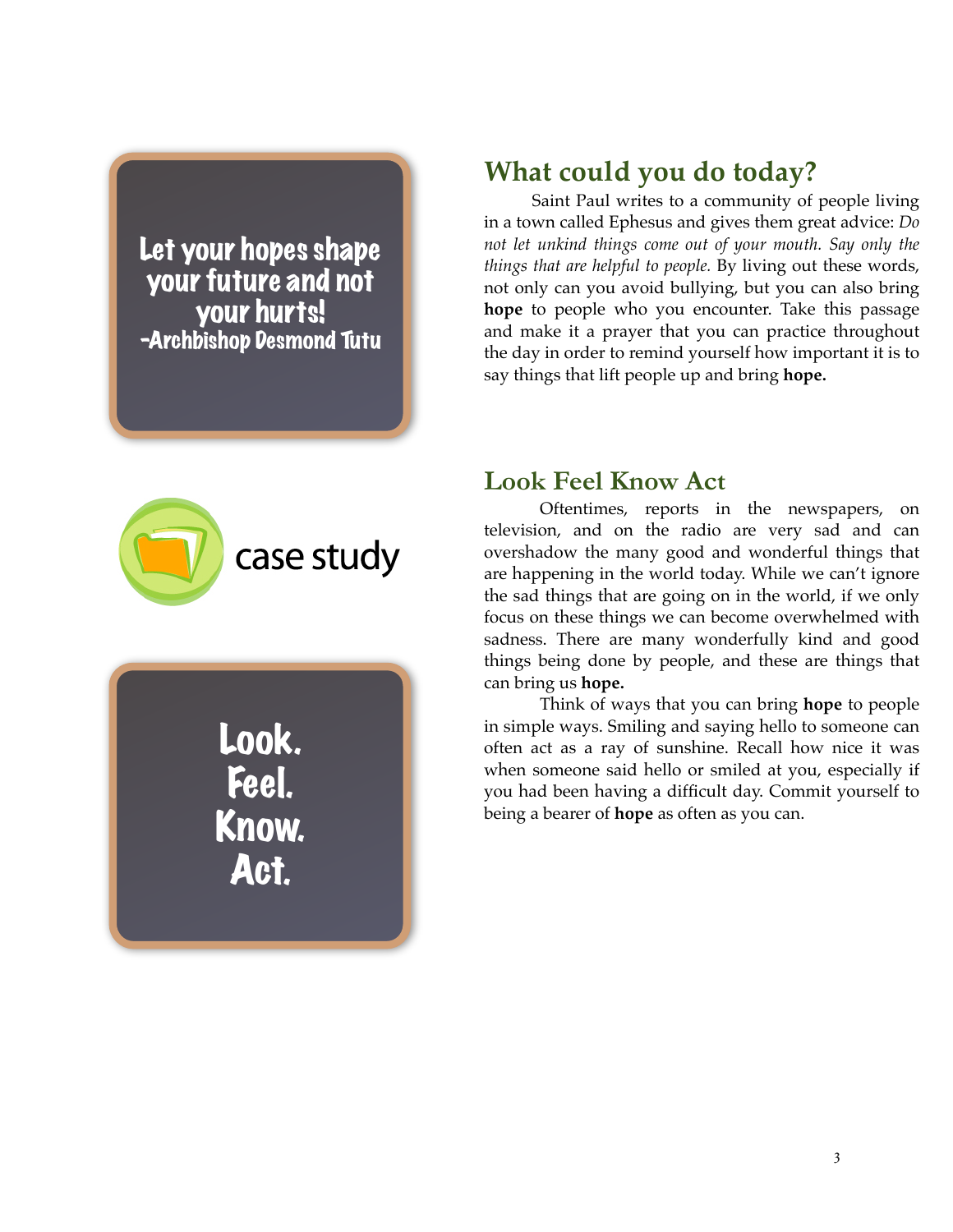Let your hopes shape your future and not your hurts! -Archbishop Desmond Tutu

# **What could you do today?**

Saint Paul writes to a community of people living in a town called Ephesus and gives them great advice: *Do not let unkind things come out of your mouth. Say only the things that are helpful to people.* By living out these words, not only can you avoid bullying, but you can also bring **hope** to people who you encounter. Take this passage and make it a prayer that you can practice throughout the day in order to remind yourself how important it is to say things that lift people up and bring **hope.** 



Look. Feel. Know. Act.

#### **Look Feel Know Act**

Oftentimes, reports in the newspapers, on television, and on the radio are very sad and can overshadow the many good and wonderful things that are happening in the world today. While we can't ignore the sad things that are going on in the world, if we only focus on these things we can become overwhelmed with sadness. There are many wonderfully kind and good things being done by people, and these are things that can bring us **hope.**

Think of ways that you can bring **hope** to people in simple ways. Smiling and saying hello to someone can often act as a ray of sunshine. Recall how nice it was when someone said hello or smiled at you, especially if you had been having a difficult day. Commit yourself to being a bearer of **hope** as often as you can.